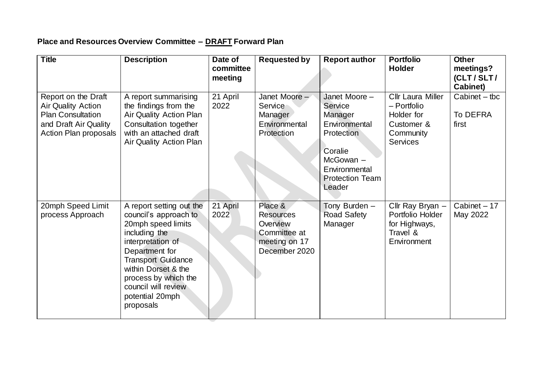## **Place and Resources Overview Committee – DRAFT Forward Plan**

| <b>Title</b>                                                                                                                   | <b>Description</b>                                                                                                                                                                                                                                                 | Date of<br>committee<br>meeting | <b>Requested by</b>                                                                       | <b>Report author</b>                                                                                                                                   | <b>Portfolio</b><br><b>Holder</b>                                                                   | <b>Other</b><br>meetings?<br>(CLT/SLT/<br><b>Cabinet)</b> |
|--------------------------------------------------------------------------------------------------------------------------------|--------------------------------------------------------------------------------------------------------------------------------------------------------------------------------------------------------------------------------------------------------------------|---------------------------------|-------------------------------------------------------------------------------------------|--------------------------------------------------------------------------------------------------------------------------------------------------------|-----------------------------------------------------------------------------------------------------|-----------------------------------------------------------|
| Report on the Draft<br><b>Air Quality Action</b><br><b>Plan Consultation</b><br>and Draft Air Quality<br>Action Plan proposals | A report summarising<br>the findings from the<br>Air Quality Action Plan<br>Consultation together<br>with an attached draft<br>Air Quality Action Plan                                                                                                             | 21 April<br>2022                | Janet Moore -<br>Service<br>Manager<br>Environmental<br>Protection                        | Janet Moore -<br>Service<br>Manager<br>Environmental<br><b>Protection</b><br>Coralie<br>McGowan -<br>Environmental<br><b>Protection Team</b><br>Leader | <b>Cllr Laura Miller</b><br>- Portfolio<br>Holder for<br>Customer &<br>Community<br><b>Services</b> | $Cabinet - tbc$<br>To DEFRA<br>first                      |
| 20mph Speed Limit<br>process Approach                                                                                          | A report setting out the<br>council's approach to<br>20mph speed limits<br>including the<br>interpretation of<br>Department for<br><b>Transport Guidance</b><br>within Dorset & the<br>process by which the<br>council will review<br>potential 20mph<br>proposals | 21 April<br>2022                | Place &<br><b>Resources</b><br>Overview<br>Committee at<br>meeting on 17<br>December 2020 | Tony Burden -<br><b>Road Safety</b><br>Manager                                                                                                         | Cllr Ray Bryan -<br>Portfolio Holder<br>for Highways,<br>Travel &<br>Environment                    | $Cabinet - 17$<br>May 2022                                |